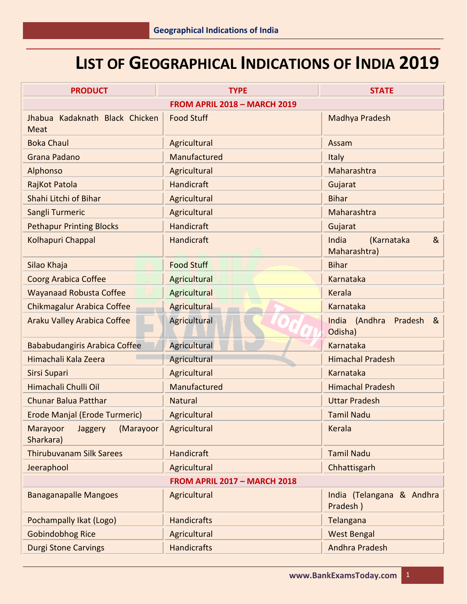# **LIST OF GEOGRAPHICAL INDICATIONS OF INDIA 2019**

| <b>PRODUCT</b>                                       | <b>TYPE</b>         | <b>STATE</b>                             |
|------------------------------------------------------|---------------------|------------------------------------------|
| <b>FROM APRIL 2018 - MARCH 2019</b>                  |                     |                                          |
| Jhabua Kadaknath Black Chicken<br><b>Meat</b>        | <b>Food Stuff</b>   | Madhya Pradesh                           |
| <b>Boka Chaul</b>                                    | Agricultural        | Assam                                    |
| Grana Padano                                         | Manufactured        | <b>Italy</b>                             |
| Alphonso                                             | Agricultural        | Maharashtra                              |
| RajKot Patola                                        | <b>Handicraft</b>   | Gujarat                                  |
| Shahi Litchi of Bihar                                | Agricultural        | <b>Bihar</b>                             |
| Sangli Turmeric                                      | Agricultural        | Maharashtra                              |
| <b>Pethapur Printing Blocks</b>                      | <b>Handicraft</b>   | Gujarat                                  |
| Kolhapuri Chappal                                    | Handicraft          | India<br>(Karnataka<br>&<br>Maharashtra) |
| Silao Khaja                                          | <b>Food Stuff</b>   | <b>Bihar</b>                             |
| <b>Coorg Arabica Coffee</b>                          | Agricultural        | Karnataka                                |
| <b>Wayanaad Robusta Coffee</b>                       | Agricultural        | Kerala                                   |
| Chikmagalur Arabica Coffee                           | <b>Agricultural</b> | Karnataka                                |
| <b>Araku Valley Arabica Coffee</b>                   | Agricultural        | India (Andhra<br>Pradesh<br>&<br>Odisha) |
| Bababudangiris Arabica Coffee                        | Agricultural        | <b>Karnataka</b>                         |
| Himachali Kala Zeera                                 | Agricultural        | <b>Himachal Pradesh</b>                  |
| Sirsi Supari                                         | Agricultural        | Karnataka                                |
| Himachali Chulli Oil                                 | Manufactured        | <b>Himachal Pradesh</b>                  |
| <b>Chunar Balua Patthar</b>                          | <b>Natural</b>      | <b>Uttar Pradesh</b>                     |
| Erode Manjal (Erode Turmeric)                        | Agricultural        | <b>Tamil Nadu</b>                        |
| (Marayoor<br>Marayoor<br><b>Jaggery</b><br>Sharkara) | Agricultural        | Kerala                                   |
| <b>Thirubuvanam Silk Sarees</b>                      | Handicraft          | <b>Tamil Nadu</b>                        |
| Jeeraphool                                           | Agricultural        | Chhattisgarh                             |
| <b>FROM APRIL 2017 - MARCH 2018</b>                  |                     |                                          |
| <b>Banaganapalle Mangoes</b>                         | Agricultural        | India (Telangana & Andhra<br>Pradesh)    |
| Pochampally Ikat (Logo)                              | <b>Handicrafts</b>  | Telangana                                |
| <b>Gobindobhog Rice</b>                              | Agricultural        | <b>West Bengal</b>                       |
| <b>Durgi Stone Carvings</b>                          | <b>Handicrafts</b>  | <b>Andhra Pradesh</b>                    |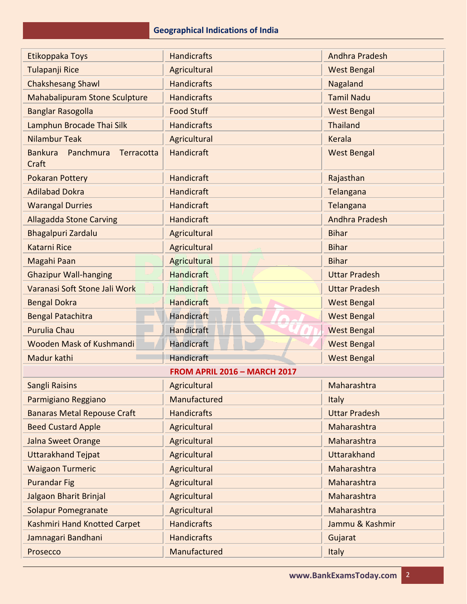| Etikoppaka Toys                                    | <b>Handicrafts</b>           | <b>Andhra Pradesh</b> |
|----------------------------------------------------|------------------------------|-----------------------|
| Tulapanji Rice                                     | Agricultural                 | <b>West Bengal</b>    |
| <b>Chakshesang Shawl</b>                           | <b>Handicrafts</b>           | Nagaland              |
| <b>Mahabalipuram Stone Sculpture</b>               | <b>Handicrafts</b>           | <b>Tamil Nadu</b>     |
| <b>Banglar Rasogolla</b>                           | <b>Food Stuff</b>            | <b>West Bengal</b>    |
| Lamphun Brocade Thai Silk                          | <b>Handicrafts</b>           | <b>Thailand</b>       |
| <b>Nilambur Teak</b>                               | Agricultural                 | <b>Kerala</b>         |
| <b>Bankura</b><br>Panchmura<br>Terracotta<br>Craft | Handicraft                   | <b>West Bengal</b>    |
| <b>Pokaran Pottery</b>                             | Handicraft                   | Rajasthan             |
| <b>Adilabad Dokra</b>                              | Handicraft                   | Telangana             |
| <b>Warangal Durries</b>                            | <b>Handicraft</b>            | Telangana             |
| <b>Allagadda Stone Carving</b>                     | <b>Handicraft</b>            | <b>Andhra Pradesh</b> |
| Bhagalpuri Zardalu                                 | Agricultural                 | <b>Bihar</b>          |
| Katarni Rice                                       | Agricultural                 | <b>Bihar</b>          |
| Magahi Paan                                        | Agricultural                 | <b>Bihar</b>          |
| <b>Ghazipur Wall-hanging</b>                       | <b>Handicraft</b>            | <b>Uttar Pradesh</b>  |
| Varanasi Soft Stone Jali Work                      | <b>Handicraft</b>            | <b>Uttar Pradesh</b>  |
| <b>Bengal Dokra</b>                                | <b>Handicraft</b>            | <b>West Bengal</b>    |
| <b>Bengal Patachitra</b>                           | <b>Handicraft</b>            | <b>West Bengal</b>    |
| <b>Purulia Chau</b>                                | Handicraft                   | <b>West Bengal</b>    |
| Wooden Mask of Kushmandi                           | Handicraft                   | <b>West Bengal</b>    |
| Madur kathi                                        | <b>Handicraft</b>            | <b>West Bengal</b>    |
|                                                    | FROM APRIL 2016 - MARCH 2017 |                       |
| Sangli Raisins                                     | Agricultural                 | Maharashtra           |
| Parmigiano Reggiano                                | Manufactured                 | Italy                 |
| <b>Banaras Metal Repouse Craft</b>                 | <b>Handicrafts</b>           | <b>Uttar Pradesh</b>  |
| <b>Beed Custard Apple</b>                          | Agricultural                 | Maharashtra           |
| Jalna Sweet Orange                                 | Agricultural                 | Maharashtra           |
| <b>Uttarakhand Tejpat</b>                          | Agricultural                 | <b>Uttarakhand</b>    |
| <b>Waigaon Turmeric</b>                            | Agricultural                 | Maharashtra           |
| <b>Purandar Fig</b>                                | Agricultural                 | Maharashtra           |
| Jalgaon Bharit Brinjal                             | Agricultural                 | Maharashtra           |
| <b>Solapur Pomegranate</b>                         | Agricultural                 | Maharashtra           |
| Kashmiri Hand Knotted Carpet                       | <b>Handicrafts</b>           | Jammu & Kashmir       |
| Jamnagari Bandhani                                 | <b>Handicrafts</b>           | Gujarat               |
| Prosecco                                           | Manufactured                 | Italy                 |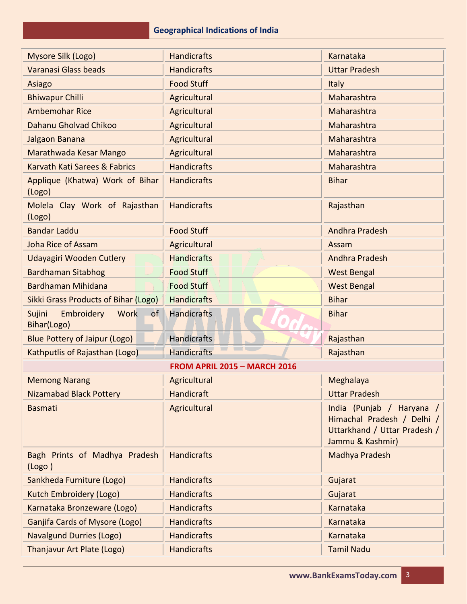| Mysore Silk (Logo)                                       | <b>Handicrafts</b>                  | Karnataka                                                                                                   |
|----------------------------------------------------------|-------------------------------------|-------------------------------------------------------------------------------------------------------------|
| Varanasi Glass beads                                     | <b>Handicrafts</b>                  | <b>Uttar Pradesh</b>                                                                                        |
| Asiago                                                   | <b>Food Stuff</b>                   | <b>Italy</b>                                                                                                |
| <b>Bhiwapur Chilli</b>                                   | Agricultural                        | Maharashtra                                                                                                 |
| <b>Ambemohar Rice</b>                                    | Agricultural                        | Maharashtra                                                                                                 |
| Dahanu Gholvad Chikoo                                    | Agricultural                        | Maharashtra                                                                                                 |
| Jalgaon Banana                                           | Agricultural                        | Maharashtra                                                                                                 |
| Marathwada Kesar Mango                                   | Agricultural                        | Maharashtra                                                                                                 |
| Karvath Kati Sarees & Fabrics                            | <b>Handicrafts</b>                  | Maharashtra                                                                                                 |
| Applique (Khatwa) Work of Bihar<br>(Logo)                | <b>Handicrafts</b>                  | <b>Bihar</b>                                                                                                |
| Molela Clay Work of Rajasthan<br>(Logo)                  | <b>Handicrafts</b>                  | Rajasthan                                                                                                   |
| <b>Bandar Laddu</b>                                      | <b>Food Stuff</b>                   | Andhra Pradesh                                                                                              |
| <b>Joha Rice of Assam</b>                                | Agricultural                        | Assam                                                                                                       |
| Udayagiri Wooden Cutlery                                 | <b>Handicrafts</b>                  | Andhra Pradesh                                                                                              |
| <b>Bardhaman Sitabhog</b>                                | <b>Food Stuff</b>                   | <b>West Bengal</b>                                                                                          |
| Bardhaman Mihidana                                       | <b>Food Stuff</b>                   | <b>West Bengal</b>                                                                                          |
| <b>Sikki Grass Products of Bihar (Logo)</b>              | <b>Handicrafts</b>                  | <b>Bihar</b>                                                                                                |
| Embroidery<br><b>Work</b><br>Sujini<br>of<br>Bihar(Logo) | <b>Handicrafts</b>                  | <b>Bihar</b>                                                                                                |
| <b>Blue Pottery of Jaipur (Logo)</b>                     | <b>Handicrafts</b>                  | Rajasthan                                                                                                   |
| Kathputlis of Rajasthan (Logo)                           | <b>Handicrafts</b>                  | Rajasthan                                                                                                   |
|                                                          | <b>FROM APRIL 2015 - MARCH 2016</b> |                                                                                                             |
| <b>Memong Narang</b>                                     | Agricultural                        | Meghalaya                                                                                                   |
| <b>Nizamabad Black Pottery</b>                           | Handicraft                          | <b>Uttar Pradesh</b>                                                                                        |
| <b>Basmati</b>                                           | Agricultural                        | India (Punjab / Haryana /<br>Himachal Pradesh / Delhi /<br>Uttarkhand / Uttar Pradesh /<br>Jammu & Kashmir) |
| Bagh Prints of Madhya Pradesh<br>(Logo)                  | <b>Handicrafts</b>                  | Madhya Pradesh                                                                                              |
| Sankheda Furniture (Logo)                                | <b>Handicrafts</b>                  | Gujarat                                                                                                     |
| Kutch Embroidery (Logo)                                  | <b>Handicrafts</b>                  | Gujarat                                                                                                     |
| Karnataka Bronzeware (Logo)                              | <b>Handicrafts</b>                  | Karnataka                                                                                                   |
| <b>Ganjifa Cards of Mysore (Logo)</b>                    | <b>Handicrafts</b>                  | <b>Karnataka</b>                                                                                            |
| <b>Navalgund Durries (Logo)</b>                          | <b>Handicrafts</b>                  | Karnataka                                                                                                   |
| Thanjavur Art Plate (Logo)                               | <b>Handicrafts</b>                  | <b>Tamil Nadu</b>                                                                                           |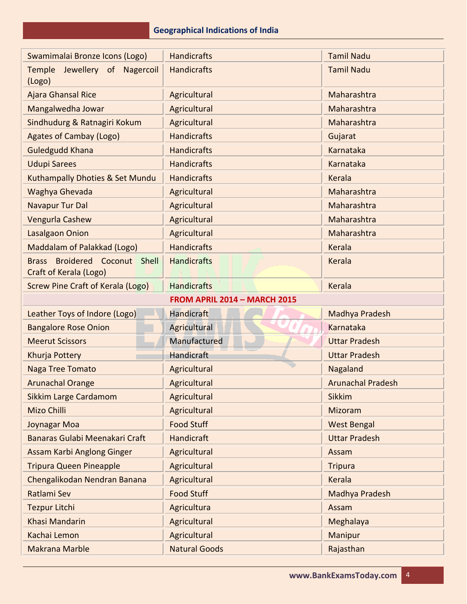| Swamimalai Bronze Icons (Logo)                                    | <b>Handicrafts</b>                  | <b>Tamil Nadu</b>        |
|-------------------------------------------------------------------|-------------------------------------|--------------------------|
| Jewellery of Nagercoil<br>Temple<br>(Logo)                        | <b>Handicrafts</b>                  | <b>Tamil Nadu</b>        |
| <b>Ajara Ghansal Rice</b>                                         | Agricultural                        | Maharashtra              |
| Mangalwedha Jowar                                                 | Agricultural                        | Maharashtra              |
| Sindhudurg & Ratnagiri Kokum                                      | Agricultural                        | Maharashtra              |
| <b>Agates of Cambay (Logo)</b>                                    | <b>Handicrafts</b>                  | Gujarat                  |
| <b>Guledgudd Khana</b>                                            | <b>Handicrafts</b>                  | Karnataka                |
| <b>Udupi Sarees</b>                                               | <b>Handicrafts</b>                  | Karnataka                |
| Kuthampally Dhoties & Set Mundu                                   | <b>Handicrafts</b>                  | Kerala                   |
| Waghya Ghevada                                                    | Agricultural                        | Maharashtra              |
| <b>Navapur Tur Dal</b>                                            | Agricultural                        | Maharashtra              |
| Vengurla Cashew                                                   | Agricultural                        | Maharashtra              |
| <b>Lasalgaon Onion</b>                                            | Agricultural                        | Maharashtra              |
| Maddalam of Palakkad (Logo)                                       | <b>Handicrafts</b>                  | Kerala                   |
| Broidered Coconut Shell<br><b>Brass</b><br>Craft of Kerala (Logo) | <b>Handicrafts</b>                  | Kerala                   |
| <b>Screw Pine Craft of Kerala (Logo)</b>                          | <b>Handicrafts</b>                  | <b>Kerala</b>            |
|                                                                   | <b>FROM APRIL 2014 - MARCH 2015</b> |                          |
|                                                                   |                                     |                          |
| Leather Toys of Indore (Logo)                                     | <b>Handicraft</b>                   | Madhya Pradesh           |
| <b>Bangalore Rose Onion</b>                                       | Agricultural                        | <b>Karnataka</b>         |
| <b>Meerut Scissors</b>                                            | Manufactured                        | <b>Uttar Pradesh</b>     |
| Khurja Pottery                                                    | <b>Handicraft</b>                   | <b>Uttar Pradesh</b>     |
| <b>Naga Tree Tomato</b>                                           | Agricultural                        | Nagaland                 |
| <b>Arunachal Orange</b>                                           | Agricultural                        | <b>Arunachal Pradesh</b> |
| <b>Sikkim Large Cardamom</b>                                      | Agricultural                        | <b>Sikkim</b>            |
| Mizo Chilli                                                       | Agricultural                        | Mizoram                  |
| Joynagar Moa                                                      | <b>Food Stuff</b>                   | <b>West Bengal</b>       |
| Banaras Gulabi Meenakari Craft                                    | Handicraft                          | <b>Uttar Pradesh</b>     |
| Assam Karbi Anglong Ginger                                        | Agricultural                        | Assam                    |
| <b>Tripura Queen Pineapple</b>                                    | Agricultural                        | <b>Tripura</b>           |
| Chengalikodan Nendran Banana                                      | Agricultural                        | Kerala                   |
| Ratlami Sev                                                       | <b>Food Stuff</b>                   | Madhya Pradesh           |
| <b>Tezpur Litchi</b>                                              | Agricultura                         | Assam                    |
| Khasi Mandarin                                                    | Agricultural                        | Meghalaya                |
| Kachai Lemon                                                      | Agricultural                        | Manipur                  |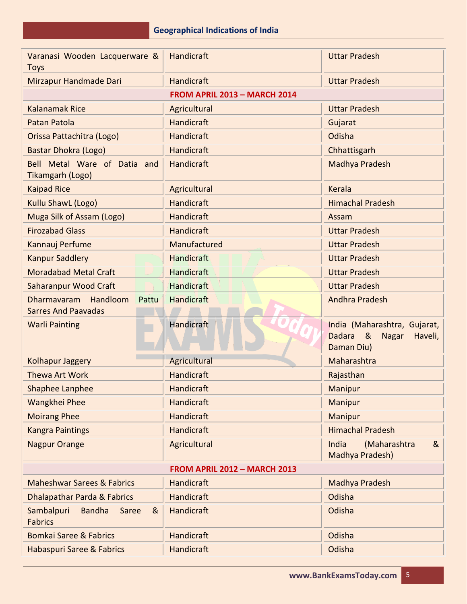| Varanasi Wooden Lacquerware &<br><b>Toys</b>                   | Handicraft                   | <b>Uttar Pradesh</b>                                                                          |
|----------------------------------------------------------------|------------------------------|-----------------------------------------------------------------------------------------------|
| Mirzapur Handmade Dari                                         | Handicraft                   | <b>Uttar Pradesh</b>                                                                          |
|                                                                | FROM APRIL 2013 - MARCH 2014 |                                                                                               |
| <b>Kalanamak Rice</b>                                          | Agricultural                 | <b>Uttar Pradesh</b>                                                                          |
| Patan Patola                                                   | Handicraft                   | Gujarat                                                                                       |
| Orissa Pattachitra (Logo)                                      | <b>Handicraft</b>            | Odisha                                                                                        |
| Bastar Dhokra (Logo)                                           | Handicraft                   | Chhattisgarh                                                                                  |
| Bell Metal Ware of Datia and<br>Tikamgarh (Logo)               | Handicraft                   | Madhya Pradesh                                                                                |
| <b>Kaipad Rice</b>                                             | Agricultural                 | <b>Kerala</b>                                                                                 |
| Kullu ShawL (Logo)                                             | Handicraft                   | <b>Himachal Pradesh</b>                                                                       |
| Muga Silk of Assam (Logo)                                      | Handicraft                   | Assam                                                                                         |
| <b>Firozabad Glass</b>                                         | Handicraft                   | <b>Uttar Pradesh</b>                                                                          |
| Kannauj Perfume                                                | Manufactured                 | <b>Uttar Pradesh</b>                                                                          |
| <b>Kanpur Saddlery</b>                                         | <b>Handicraft</b>            | <b>Uttar Pradesh</b>                                                                          |
| <b>Moradabad Metal Craft</b>                                   | <b>Handicraft</b>            | <b>Uttar Pradesh</b>                                                                          |
| Saharanpur Wood Craft                                          | <b>Handicraft</b>            | <b>Uttar Pradesh</b>                                                                          |
| Handloom<br>Dharmavaram<br>Pattu<br><b>Sarres And Paavadas</b> | Handicraft                   | <b>Andhra Pradesh</b>                                                                         |
| <b>Warli Painting</b>                                          | Handicraft                   | India (Maharashtra, Gujarat,<br><b>Dadara</b><br>- &<br><b>Nagar</b><br>Haveli,<br>Daman Diu) |
| Kolhapur Jaggery                                               | Agricultural                 | Maharashtra                                                                                   |
| Thewa Art Work                                                 | <b>Handicraft</b>            | Rajasthan                                                                                     |
| <b>Shaphee Lanphee</b>                                         | Handicraft                   | Manipur                                                                                       |
| Wangkhei Phee                                                  | Handicraft                   | <b>Manipur</b>                                                                                |
| <b>Moirang Phee</b>                                            | Handicraft                   | Manipur                                                                                       |
| <b>Kangra Paintings</b>                                        | Handicraft                   | <b>Himachal Pradesh</b>                                                                       |
| <b>Nagpur Orange</b>                                           | Agricultural                 | India<br>(Maharashtra<br>&<br>Madhya Pradesh)                                                 |
| <b>FROM APRIL 2012 - MARCH 2013</b>                            |                              |                                                                                               |
| <b>Maheshwar Sarees &amp; Fabrics</b>                          | Handicraft                   | Madhya Pradesh                                                                                |
| Dhalapathar Parda & Fabrics                                    | Handicraft                   | Odisha                                                                                        |
| Sambalpuri<br><b>Bandha</b><br>Saree<br>&<br><b>Fabrics</b>    | Handicraft                   | Odisha                                                                                        |
| <b>Bomkai Saree &amp; Fabrics</b>                              | Handicraft                   | Odisha                                                                                        |
| Habaspuri Saree & Fabrics                                      | Handicraft                   | Odisha                                                                                        |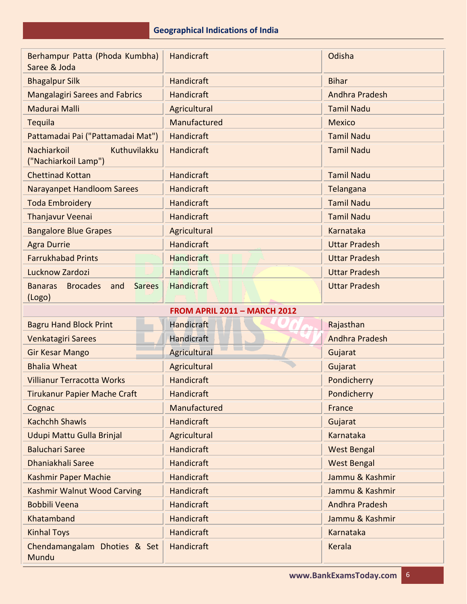| Berhampur Patta (Phoda Kumbha)<br>Saree & Joda                      | Handicraft                          | Odisha                |
|---------------------------------------------------------------------|-------------------------------------|-----------------------|
| <b>Bhagalpur Silk</b>                                               | Handicraft                          | <b>Bihar</b>          |
| <b>Mangalagiri Sarees and Fabrics</b>                               | <b>Handicraft</b>                   | Andhra Pradesh        |
| Madurai Malli                                                       | Agricultural                        | <b>Tamil Nadu</b>     |
| Tequila                                                             | Manufactured                        | <b>Mexico</b>         |
| Pattamadai Pai ("Pattamadai Mat")                                   | Handicraft                          | <b>Tamil Nadu</b>     |
| Kuthuvilakku<br>Nachiarkoil<br>("Nachiarkoil Lamp")                 | Handicraft                          | <b>Tamil Nadu</b>     |
| <b>Chettinad Kottan</b>                                             | Handicraft                          | <b>Tamil Nadu</b>     |
| <b>Narayanpet Handloom Sarees</b>                                   | Handicraft                          | Telangana             |
| <b>Toda Embroidery</b>                                              | Handicraft                          | <b>Tamil Nadu</b>     |
| Thanjavur Veenai                                                    | Handicraft                          | <b>Tamil Nadu</b>     |
| <b>Bangalore Blue Grapes</b>                                        | Agricultural                        | Karnataka             |
| <b>Agra Durrie</b>                                                  | Handicraft                          | <b>Uttar Pradesh</b>  |
| <b>Farrukhabad Prints</b>                                           | <b>Handicraft</b>                   | <b>Uttar Pradesh</b>  |
| Lucknow Zardozi                                                     | <b>Handicraft</b>                   | <b>Uttar Pradesh</b>  |
| <b>Brocades</b><br><b>Sarees</b><br><b>Banaras</b><br>and<br>(Logo) | <b>Handicraft</b>                   | <b>Uttar Pradesh</b>  |
|                                                                     | <b>FROM APRIL 2011 - MARCH 2012</b> |                       |
| <b>Bagru Hand Block Print</b>                                       | Handicraft                          | Rajasthan             |
| Venkatagiri Sarees                                                  | Handicraft                          | <b>Andhra Pradesh</b> |
| <b>Gir Kesar Mango</b>                                              | <b>Agricultural</b>                 | Gujarat               |
| <b>Bhalia Wheat</b>                                                 |                                     |                       |
|                                                                     | Agricultural                        | Gujarat               |
| <b>Villianur Terracotta Works</b>                                   | Handicraft                          | Pondicherry           |
| Tirukanur Papier Mache Craft                                        | Handicraft                          | Pondicherry           |
| Cognac                                                              | Manufactured                        | France                |
| <b>Kachchh Shawls</b>                                               | Handicraft                          | Gujarat               |
| Udupi Mattu Gulla Brinjal                                           | Agricultural                        | Karnataka             |
| <b>Baluchari Saree</b>                                              | Handicraft                          | <b>West Bengal</b>    |
| Dhaniakhali Saree                                                   | Handicraft                          | <b>West Bengal</b>    |
| Kashmir Paper Machie                                                | Handicraft                          | Jammu & Kashmir       |
| Kashmir Walnut Wood Carving                                         | Handicraft                          | Jammu & Kashmir       |
| <b>Bobbili Veena</b>                                                | Handicraft                          | Andhra Pradesh        |
| Khatamband                                                          | Handicraft                          | Jammu & Kashmir       |
| <b>Kinhal Toys</b>                                                  | Handicraft                          | Karnataka             |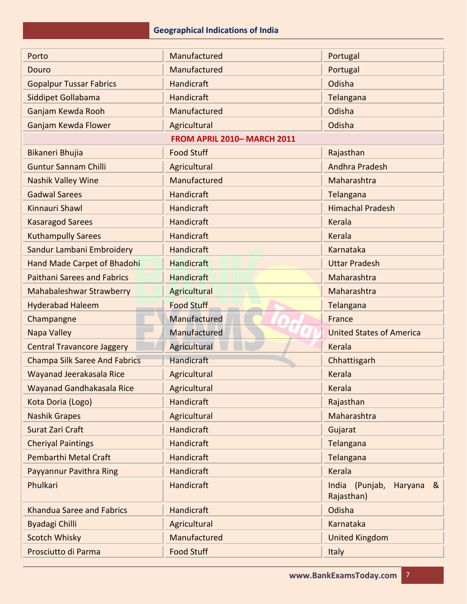| Porto                                | Manufactured               | Portugal                                                  |
|--------------------------------------|----------------------------|-----------------------------------------------------------|
| Douro                                | Manufactured               | Portugal                                                  |
| <b>Gopalpur Tussar Fabrics</b>       | Handicraft                 | Odisha                                                    |
| Siddipet Gollabama                   | Handicraft                 | Telangana                                                 |
| Ganjam Kewda Rooh                    | Manufactured               | Odisha                                                    |
| Ganjam Kewda Flower                  | Agricultural               | Odisha                                                    |
|                                      | FROM APRIL 2010-MARCH 2011 |                                                           |
| Bikaneri Bhujia                      | <b>Food Stuff</b>          | Rajasthan                                                 |
| <b>Guntur Sannam Chilli</b>          | Agricultural               | Andhra Pradesh                                            |
| <b>Nashik Valley Wine</b>            | Manufactured               | Maharashtra                                               |
| <b>Gadwal Sarees</b>                 | Handicraft                 | Telangana                                                 |
| Kinnauri Shawl                       | <b>Handicraft</b>          | <b>Himachal Pradesh</b>                                   |
| <b>Kasaragod Sarees</b>              | <b>Handicraft</b>          | Kerala                                                    |
| <b>Kuthampully Sarees</b>            | Handicraft                 | Kerala                                                    |
| Sandur Lambani Embroidery            | Handicraft                 | Karnataka                                                 |
| <b>Hand Made Carpet of Bhadohi</b>   | Handicraft                 | <b>Uttar Pradesh</b>                                      |
| <b>Paithani Sarees and Fabrics</b>   | Handicraft                 | Maharashtra                                               |
| <b>Mahabaleshwar Strawberry</b>      | Agricultural               | Maharashtra                                               |
| <b>Hyderabad Haleem</b>              | <b>Food Stuff</b>          | Telangana                                                 |
| Champangne                           | Manufactured               | France                                                    |
| <b>Napa Valley</b>                   | Manufactured               | <b>United States of America</b>                           |
| <b>Central Travancore Jaggery</b>    | Agricultural               | <b>Kerala</b>                                             |
| <b>Champa Silk Saree And Fabrics</b> | <b>Handicraft</b>          | Chhattisgarh                                              |
| Wayanad Jeerakasala Rice             | Agricultural               | <b>Kerala</b>                                             |
| Wayanad Gandhakasala Rice            | Agricultural               | Kerala                                                    |
| Kota Doria (Logo)                    | <b>Handicraft</b>          | Rajasthan                                                 |
| <b>Nashik Grapes</b>                 | Agricultural               | Maharashtra                                               |
| Surat Zari Craft                     | <b>Handicraft</b>          | Gujarat                                                   |
| <b>Cheriyal Paintings</b>            | <b>Handicraft</b>          | Telangana                                                 |
| <b>Pembarthi Metal Craft</b>         | <b>Handicraft</b>          | Telangana                                                 |
| Payyannur Pavithra Ring              | <b>Handicraft</b>          | Kerala                                                    |
| Phulkari                             | Handicraft                 | India (Punjab,<br>Haryana<br>8 <sub>1</sub><br>Rajasthan) |
| <b>Khandua Saree and Fabrics</b>     | <b>Handicraft</b>          | Odisha                                                    |
| <b>Byadagi Chilli</b>                | Agricultural               | <b>Karnataka</b>                                          |
| <b>Scotch Whisky</b>                 | Manufactured               | <b>United Kingdom</b>                                     |
| Prosciutto di Parma                  | <b>Food Stuff</b>          | <b>Italy</b>                                              |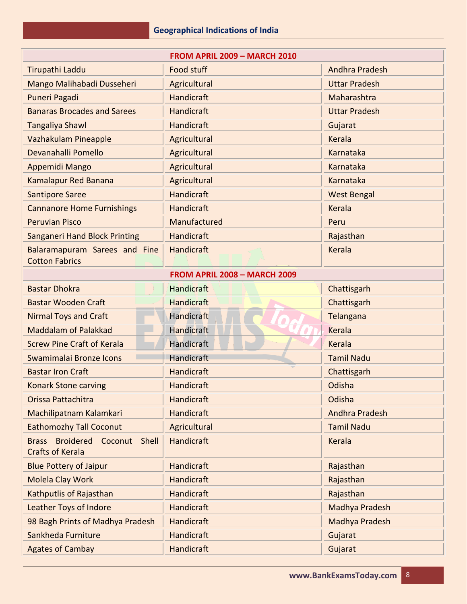| <b>FROM APRIL 2009 - MARCH 2010</b>                                |                                     |                      |
|--------------------------------------------------------------------|-------------------------------------|----------------------|
| Tirupathi Laddu                                                    | Food stuff                          | Andhra Pradesh       |
| Mango Malihabadi Dusseheri                                         | Agricultural                        | <b>Uttar Pradesh</b> |
| Puneri Pagadi                                                      | Handicraft                          | Maharashtra          |
| <b>Banaras Brocades and Sarees</b>                                 | Handicraft                          | <b>Uttar Pradesh</b> |
| <b>Tangaliya Shawl</b>                                             | Handicraft                          | Gujarat              |
| Vazhakulam Pineapple                                               | Agricultural                        | Kerala               |
| Devanahalli Pomello                                                | Agricultural                        | Karnataka            |
| Appemidi Mango                                                     | Agricultural                        | Karnataka            |
| <b>Kamalapur Red Banana</b>                                        | Agricultural                        | Karnataka            |
| <b>Santipore Saree</b>                                             | Handicraft                          | <b>West Bengal</b>   |
| <b>Cannanore Home Furnishings</b>                                  | Handicraft                          | Kerala               |
| <b>Peruvian Pisco</b>                                              | Manufactured                        | Peru                 |
| <b>Sanganeri Hand Block Printing</b>                               | Handicraft                          | Rajasthan            |
| Balaramapuram Sarees and Fine<br><b>Cotton Fabrics</b>             | Handicraft                          | <b>Kerala</b>        |
|                                                                    | <b>FROM APRIL 2008 - MARCH 2009</b> |                      |
| <b>Bastar Dhokra</b>                                               | Handicraft                          | Chattisgarh          |
| <b>Bastar Wooden Craft</b>                                         | <b>Handicraft</b>                   | Chattisgarh          |
| <b>Nirmal Toys and Craft</b>                                       | <b>Handicraft</b>                   | Telangana            |
| <b>Maddalam of Palakkad</b>                                        | Handicraft                          | Kerala               |
| <b>Screw Pine Craft of Kerala</b>                                  | <b>Handicraft</b>                   | Kerala               |
| Swamimalai Bronze Icons                                            | <b>Handicraft</b>                   | <b>Tamil Nadu</b>    |
| <b>Bastar Iron Craft</b>                                           | Handicraft                          | Chattisgarh          |
| <b>Konark Stone carving</b>                                        | Handicraft                          | Odisha               |
| Orissa Pattachitra                                                 | Handicraft                          | Odisha               |
| Machilipatnam Kalamkari                                            | <b>Handicraft</b>                   | Andhra Pradesh       |
| <b>Eathomozhy Tall Coconut</b>                                     | Agricultural                        | <b>Tamil Nadu</b>    |
| Broidered Coconut Shell<br><b>Brass</b><br><b>Crafts of Kerala</b> | <b>Handicraft</b>                   | Kerala               |
| <b>Blue Pottery of Jaipur</b>                                      | <b>Handicraft</b>                   | Rajasthan            |
| <b>Molela Clay Work</b>                                            | <b>Handicraft</b>                   | Rajasthan            |
| Kathputlis of Rajasthan                                            | Handicraft                          | Rajasthan            |
| Leather Toys of Indore                                             | Handicraft                          | Madhya Pradesh       |
| 98 Bagh Prints of Madhya Pradesh                                   | <b>Handicraft</b>                   | Madhya Pradesh       |
| Sankheda Furniture                                                 | Handicraft                          | Gujarat              |
| <b>Agates of Cambay</b>                                            | <b>Handicraft</b>                   | Gujarat              |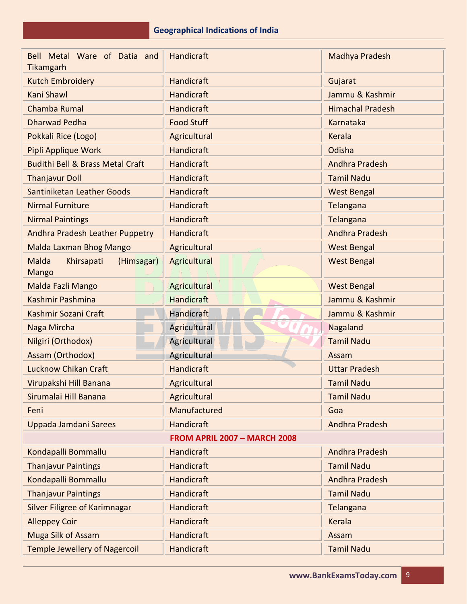| Bell Metal Ware of Datia and<br>Tikamgarh                | Handicraft                          | Madhya Pradesh          |
|----------------------------------------------------------|-------------------------------------|-------------------------|
| <b>Kutch Embroidery</b>                                  | Handicraft                          | Gujarat                 |
| Kani Shawl                                               | Handicraft                          | Jammu & Kashmir         |
| Chamba Rumal                                             | Handicraft                          | <b>Himachal Pradesh</b> |
| <b>Dharwad Pedha</b>                                     | <b>Food Stuff</b>                   | Karnataka               |
| Pokkali Rice (Logo)                                      | Agricultural                        | Kerala                  |
| Pipli Applique Work                                      | Handicraft                          | Odisha                  |
| <b>Budithi Bell &amp; Brass Metal Craft</b>              | Handicraft                          | Andhra Pradesh          |
| <b>Thanjavur Doll</b>                                    | Handicraft                          | <b>Tamil Nadu</b>       |
| Santiniketan Leather Goods                               | Handicraft                          | <b>West Bengal</b>      |
| <b>Nirmal Furniture</b>                                  | Handicraft                          | Telangana               |
| <b>Nirmal Paintings</b>                                  | Handicraft                          | Telangana               |
| Andhra Pradesh Leather Puppetry                          | Handicraft                          | <b>Andhra Pradesh</b>   |
| Malda Laxman Bhog Mango                                  | Agricultural                        | <b>West Bengal</b>      |
| <b>Malda</b><br>Khirsapati<br>(Himsagar)<br><b>Mango</b> | Agricultural                        | <b>West Bengal</b>      |
| Malda Fazli Mango                                        | Agricultural                        | <b>West Bengal</b>      |
| Kashmir Pashmina                                         | <b>Handicraft</b>                   | Jammu & Kashmir         |
| Kashmir Sozani Craft                                     | <b>Handicraft</b>                   | Jammu & Kashmir         |
| Naga Mircha                                              | Agricultural                        | Nagaland                |
| Nilgiri (Orthodox)                                       | Agricultural                        | <b>Tamil Nadu</b>       |
| Assam (Orthodox)                                         | <b>Agricultural</b>                 | Assam                   |
| <b>Lucknow Chikan Craft</b>                              | <b>Handicraft</b>                   | <b>Uttar Pradesh</b>    |
| Virupakshi Hill Banana                                   | Agricultural                        | <b>Tamil Nadu</b>       |
| Sirumalai Hill Banana                                    | Agricultural                        | <b>Tamil Nadu</b>       |
| Feni                                                     | Manufactured                        | Goa                     |
| Uppada Jamdani Sarees                                    | Handicraft                          | Andhra Pradesh          |
|                                                          | <b>FROM APRIL 2007 - MARCH 2008</b> |                         |
| Kondapalli Bommallu                                      | Handicraft                          | Andhra Pradesh          |
| <b>Thanjavur Paintings</b>                               | <b>Handicraft</b>                   | <b>Tamil Nadu</b>       |
| Kondapalli Bommallu                                      | <b>Handicraft</b>                   | <b>Andhra Pradesh</b>   |
| <b>Thanjavur Paintings</b>                               | <b>Handicraft</b>                   | <b>Tamil Nadu</b>       |
| Silver Filigree of Karimnagar                            | <b>Handicraft</b>                   | Telangana               |
| <b>Alleppey Coir</b>                                     | <b>Handicraft</b>                   | Kerala                  |
| <b>Muga Silk of Assam</b>                                | Handicraft                          | Assam                   |
| <b>Temple Jewellery of Nagercoil</b>                     | Handicraft                          | <b>Tamil Nadu</b>       |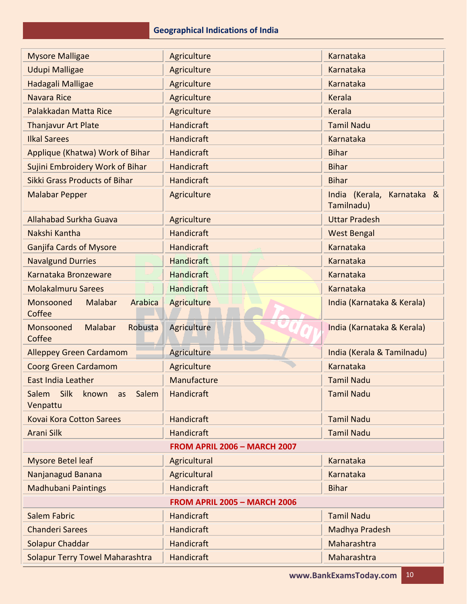| <b>Mysore Malligae</b>                            | Agriculture                         | Karnataka                                |
|---------------------------------------------------|-------------------------------------|------------------------------------------|
| <b>Udupi Malligae</b>                             | Agriculture                         | <b>Karnataka</b>                         |
| Hadagali Malligae                                 | Agriculture                         | Karnataka                                |
| <b>Navara Rice</b>                                | Agriculture                         | <b>Kerala</b>                            |
| Palakkadan Matta Rice                             | Agriculture                         | <b>Kerala</b>                            |
| <b>Thanjavur Art Plate</b>                        | Handicraft                          | <b>Tamil Nadu</b>                        |
| <b>Ilkal Sarees</b>                               | <b>Handicraft</b>                   | Karnataka                                |
| Applique (Khatwa) Work of Bihar                   | Handicraft                          | <b>Bihar</b>                             |
| Sujini Embroidery Work of Bihar                   | Handicraft                          | <b>Bihar</b>                             |
| <b>Sikki Grass Products of Bihar</b>              | Handicraft                          | <b>Bihar</b>                             |
| <b>Malabar Pepper</b>                             | Agriculture                         | India (Kerala, Karnataka &<br>Tamilnadu) |
| <b>Allahabad Surkha Guava</b>                     | Agriculture                         | <b>Uttar Pradesh</b>                     |
| Nakshi Kantha                                     | Handicraft                          | <b>West Bengal</b>                       |
| <b>Ganjifa Cards of Mysore</b>                    | Handicraft                          | Karnataka                                |
| <b>Navalgund Durries</b>                          | <b>Handicraft</b>                   | Karnataka                                |
| Karnataka Bronzeware                              | <b>Handicraft</b>                   | Karnataka                                |
| <b>Molakalmuru Sarees</b>                         | Handicraft                          | Karnataka                                |
| Malabar<br>Monsooned<br>Arabica<br>Coffee         | Agriculture                         | India (Karnataka & Kerala)               |
| Robusta<br>Monsooned<br>Malabar<br>Coffee         | Agriculture                         | India (Karnataka & Kerala)               |
| <b>Alleppey Green Cardamom</b>                    | <b>Agriculture</b>                  | India (Kerala & Tamilnadu)               |
| <b>Coorg Green Cardamom</b>                       | Agriculture                         | Karnataka                                |
| <b>East India Leather</b>                         | Manufacture                         | <b>Tamil Nadu</b>                        |
| Salem<br>Silk<br>known<br>Salem<br>as<br>Venpattu | Handicraft                          | <b>Tamil Nadu</b>                        |
| <b>Kovai Kora Cotton Sarees</b>                   | Handicraft                          | <b>Tamil Nadu</b>                        |
| <b>Arani Silk</b>                                 | <b>Handicraft</b>                   | <b>Tamil Nadu</b>                        |
|                                                   | <b>FROM APRIL 2006 - MARCH 2007</b> |                                          |
| <b>Mysore Betel leaf</b>                          | Agricultural                        | Karnataka                                |
| Nanjanagud Banana                                 | Agricultural                        | <b>Karnataka</b>                         |
| <b>Madhubani Paintings</b>                        | <b>Handicraft</b>                   | <b>Bihar</b>                             |
|                                                   | <b>FROM APRIL 2005 - MARCH 2006</b> |                                          |
| <b>Salem Fabric</b>                               | Handicraft                          | <b>Tamil Nadu</b>                        |
| <b>Chanderi Sarees</b>                            | Handicraft                          | Madhya Pradesh                           |
| Solapur Chaddar                                   | Handicraft                          | Maharashtra                              |
| <b>Solapur Terry Towel Maharashtra</b>            | Handicraft                          | Maharashtra                              |